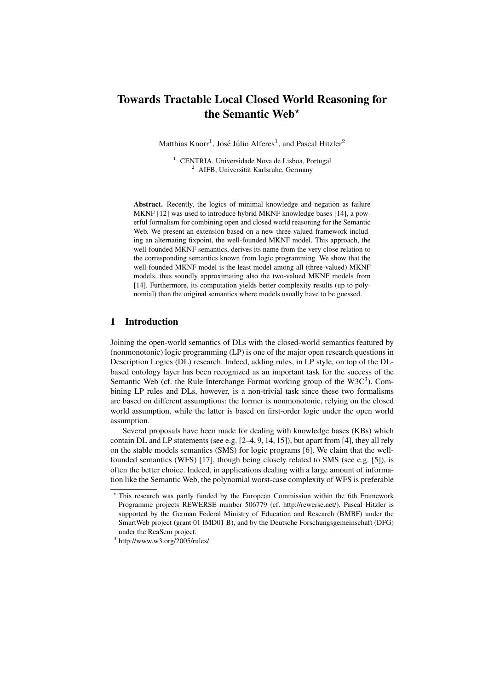# Towards Tractable Local Closed World Reasoning for the Semantic Web\*

Matthias  $K$ norr<sup>1</sup>, José Júlio Alferes<sup>1</sup>, and Pascal Hitzler<sup>2</sup>

<sup>1</sup> CENTRIA, Universidade Nova de Lisboa, Portugal <sup>2</sup> AIFB, Universität Karlsruhe, Germany

Abstract. Recently, the logics of minimal knowledge and negation as failure MKNF [12] was used to introduce hybrid MKNF knowledge bases [14], a powerful formalism for combining open and closed world reasoning for the Semantic Web. We present an extension based on a new three-valued framework including an alternating fixpoint, the well-founded MKNF model. This approach, the well-founded MKNF semantics, derives its name from the very close relation to the corresponding semantics known from logic programming. We show that the well-founded MKNF model is the least model among all (three-valued) MKNF models, thus soundly approximating also the two-valued MKNF models from [14]. Furthermore, its computation yields better complexity results (up to polynomial) than the original semantics where models usually have to be guessed.

# 1 Introduction

Joining the open-world semantics of DLs with the closed-world semantics featured by (nonmonotonic) logic programming (LP) is one of the major open research questions in Description Logics (DL) research. Indeed, adding rules, in LP style, on top of the DLbased ontology layer has been recognized as an important task for the success of the Semantic Web (cf. the Rule Interchange Format working group of the  $W3C<sup>3</sup>$ ). Combining LP rules and DLs, however, is a non-trivial task since these two formalisms are based on different assumptions: the former is nonmonotonic, relying on the closed world assumption, while the latter is based on first-order logic under the open world assumption.

Several proposals have been made for dealing with knowledge bases (KBs) which contain DL and LP statements (see e.g. [2–4, 9, 14, 15]), but apart from [4], they all rely on the stable models semantics (SMS) for logic programs [6]. We claim that the wellfounded semantics (WFS) [17], though being closely related to SMS (see e.g. [5]), is often the better choice. Indeed, in applications dealing with a large amount of information like the Semantic Web, the polynomial worst-case complexity of WFS is preferable

<sup>?</sup> This research was partly funded by the European Commission within the 6th Framework Programme projects REWERSE number 506779 (cf. http://rewerse.net/). Pascal Hitzler is supported by the German Federal Ministry of Education and Research (BMBF) under the SmartWeb project (grant 01 IMD01 B), and by the Deutsche Forschungsgemeinschaft (DFG) under the ReaSem project.

 $3$  http://www.w3.org/2005/rules/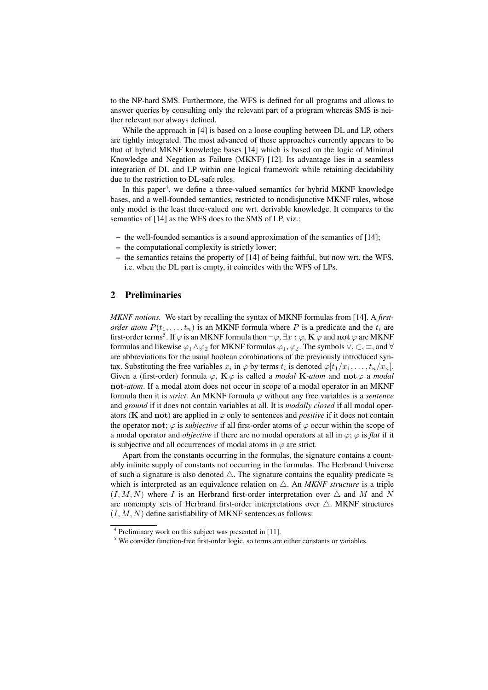to the NP-hard SMS. Furthermore, the WFS is defined for all programs and allows to answer queries by consulting only the relevant part of a program whereas SMS is neither relevant nor always defined.

While the approach in [4] is based on a loose coupling between DL and LP, others are tightly integrated. The most advanced of these approaches currently appears to be that of hybrid MKNF knowledge bases [14] which is based on the logic of Minimal Knowledge and Negation as Failure (MKNF) [12]. Its advantage lies in a seamless integration of DL and LP within one logical framework while retaining decidability due to the restriction to DL-safe rules.

In this paper<sup>4</sup>, we define a three-valued semantics for hybrid MKNF knowledge bases, and a well-founded semantics, restricted to nondisjunctive MKNF rules, whose only model is the least three-valued one wrt. derivable knowledge. It compares to the semantics of [14] as the WFS does to the SMS of LP, viz.:

- the well-founded semantics is a sound approximation of the semantics of [14];
- the computational complexity is strictly lower;
- the semantics retains the property of [14] of being faithful, but now wrt. the WFS, i.e. when the DL part is empty, it coincides with the WFS of LPs.

## 2 Preliminaries

*MKNF notions.* We start by recalling the syntax of MKNF formulas from [14]. A *firstorder atom*  $P(t_1, \ldots, t_n)$  is an MKNF formula where P is a predicate and the  $t_i$  are first-order terms $^5$ . If  $\varphi$  is an MKNF formula then  $\neg \varphi, \exists x:\varphi, \mathbf{K}\, \varphi$  and  $\mathbf{not}\, \varphi$  are MKNF formulas and likewise  $\varphi_1 \wedge \varphi_2$  for MKNF formulas  $\varphi_1, \varphi_2$ . The symbols  $\vee, \subset, \equiv,$  and  $\forall$ are abbreviations for the usual boolean combinations of the previously introduced syntax. Substituting the free variables  $x_i$  in  $\varphi$  by terms  $t_i$  is denoted  $\varphi[t_1/x_1, \ldots, t_n/x_n]$ . Given a (first-order) formula  $\varphi$ ,  $\mathbf{K} \varphi$  is called a *modal*  $\mathbf{K}$ -*atom* and not  $\varphi$  a *modal* not-*atom*. If a modal atom does not occur in scope of a modal operator in an MKNF formula then it is *strict*. An MKNF formula  $\varphi$  without any free variables is a *sentence* and *ground* if it does not contain variables at all. It is *modally closed* if all modal operators (**K** and **not**) are applied in  $\varphi$  only to sentences and *positive* if it does not contain the operator not;  $\varphi$  is *subjective* if all first-order atoms of  $\varphi$  occur within the scope of a modal operator and *objective* if there are no modal operators at all in  $\varphi$ ;  $\varphi$  is *flat* if it is subjective and all occurrences of modal atoms in  $\varphi$  are strict.

Apart from the constants occurring in the formulas, the signature contains a countably infinite supply of constants not occurring in the formulas. The Herbrand Universe of such a signature is also denoted  $\triangle$ . The signature contains the equality predicate  $\approx$ which is interpreted as an equivalence relation on  $\triangle$ . An *MKNF structure* is a triple  $(I, M, N)$  where I is an Herbrand first-order interpretation over  $\triangle$  and M and N are nonempty sets of Herbrand first-order interpretations over  $\triangle$ . MKNF structures  $(I, M, N)$  define satisfiability of MKNF sentences as follows:

<sup>4</sup> Preliminary work on this subject was presented in [11].

<sup>&</sup>lt;sup>5</sup> We consider function-free first-order logic, so terms are either constants or variables.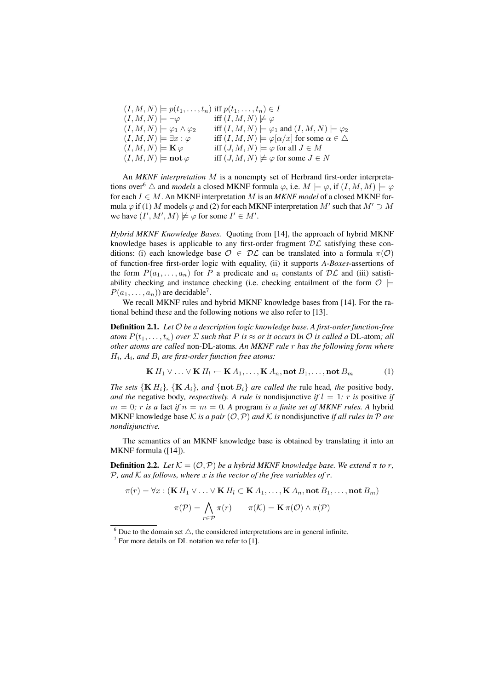| $(I, M, N) \models p(t_1, \ldots, t_n)$ iff $p(t_1, \ldots, t_n) \in I$ |                                                                        |
|-------------------------------------------------------------------------|------------------------------------------------------------------------|
| $(I, M, N) \models \neg \varphi$                                        | iff $(I, M, N) \not\models \varphi$                                    |
| $(I, M, N) \models \varphi_1 \wedge \varphi_2$                          | iff $(I, M, N) \models \varphi_1$ and $(I, M, N) \models \varphi_2$    |
| $(I, M, N) \models \exists x : \varphi$                                 | iff $(I, M, N) \models \varphi[\alpha/x]$ for some $\alpha \in \Delta$ |
| $(I, M, N) \models \mathbf{K} \varphi$                                  | iff $(J, M, N) \models \varphi$ for all $J \in M$                      |
| $(I, M, N) \models \textbf{not } \varphi$                               | iff $(J, M, N) \not\models \varphi$ for some $J \in N$                 |

An *MKNF interpretation* M is a nonempty set of Herbrand first-order interpretations over<sup>6</sup>  $\triangle$  and *models* a closed MKNF formula  $\varphi$ , i.e.  $M \models \varphi$ , if  $(I, M, M) \models \varphi$ for each  $I \in M$ . An MKNF interpretation M is an *MKNF model* of a closed MKNF formula  $\varphi$  if (1) M models  $\varphi$  and (2) for each MKNF interpretation M' such that  $M' \supset M$ we have  $(I', M', M) \not\models \varphi$  for some  $I' \in M'.$ 

*Hybrid MKNF Knowledge Bases.* Quoting from [14], the approach of hybrid MKNF knowledge bases is applicable to any first-order fragment  $D\mathcal{L}$  satisfying these conditions: (i) each knowledge base  $\mathcal{O} \in \mathcal{DL}$  can be translated into a formula  $\pi(\mathcal{O})$ of function-free first-order logic with equality, (ii) it supports *A-Boxes*-assertions of the form  $P(a_1, \ldots, a_n)$  for P a predicate and  $a_i$  constants of  $D\mathcal{L}$  and (iii) satisfiability checking and instance checking (i.e. checking entailment of the form  $\mathcal{O} \models$  $P(a_1, \ldots, a_n)$  are decidable<sup>7</sup>.

We recall MKNF rules and hybrid MKNF knowledge bases from [14]. For the rational behind these and the following notions we also refer to [13].

Definition 2.1. *Let* O *be a description logic knowledge base. A first-order function-free atom*  $P(t_1, \ldots, t_n)$  *over*  $\Sigma$  *such that*  $P$  *is*  $\approx$  *or it occurs in*  $\mathcal O$  *is called a* DL-atom; *all other atoms are called* non-DL-atoms*. An MKNF rule* r *has the following form where* H<sup>i</sup> *,* A<sup>i</sup> *, and* B<sup>i</sup> *are first-order function free atoms:*

$$
\mathbf{K} H_1 \vee \ldots \vee \mathbf{K} H_l \leftarrow \mathbf{K} A_1, \ldots, \mathbf{K} A_n, \text{not } B_1, \ldots, \text{not } B_m \tag{1}
$$

*The sets*  ${K H_i}$ *,*  ${K A_i}$ *, and*  ${not B_i}$  *are called the rule head, the positive body, and the* negative body, *respectively. A rule is* nondisjunctive *if*  $l = 1$ ; *r is* positive *if*  $m = 0$ ; r is a fact if  $n = m = 0$ . A program is a finite set of MKNF rules. A hybrid MKNF knowledge base  $K$  *is a pair*  $(0, P)$  *and*  $K$  *is* nondisjunctive *if all rules in*  $P$  *are nondisjunctive.*

The semantics of an MKNF knowledge base is obtained by translating it into an MKNF formula ([14]).

**Definition 2.2.** *Let*  $K = (0, \mathcal{P})$  *be a hybrid MKNF knowledge base. We extend*  $\pi$  *to*  $r$ *,* P*, and* K *as follows, where* x *is the vector of the free variables of* r*.*

$$
\pi(r) = \forall x : (\mathbf{K} H_1 \lor \dots \lor \mathbf{K} H_l \subset \mathbf{K} A_1, \dots, \mathbf{K} A_n, \text{not } B_1, \dots, \text{not } B_m)
$$

$$
\pi(\mathcal{P}) = \bigwedge_{r \in \mathcal{P}} \pi(r) \qquad \pi(\mathcal{K}) = \mathbf{K} \pi(\mathcal{O}) \land \pi(\mathcal{P})
$$

 $6$  Due to the domain set  $\triangle$ , the considered interpretations are in general infinite.

 $<sup>7</sup>$  For more details on DL notation we refer to [1].</sup>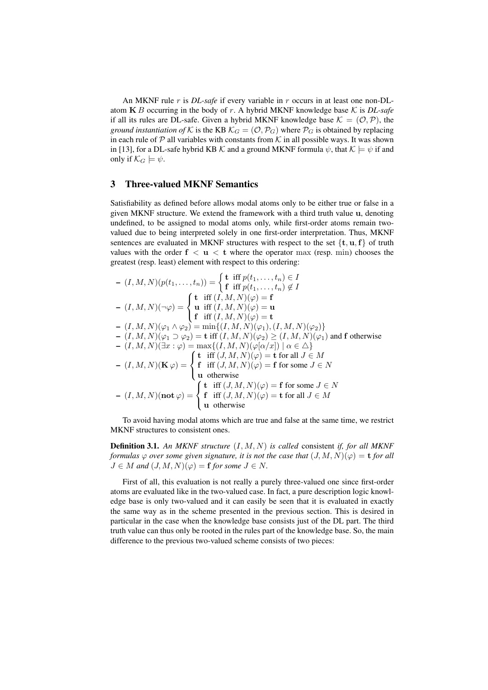An MKNF rule r is *DL-safe* if every variable in r occurs in at least one non-DLatom K B occurring in the body of r. A hybrid MKNF knowledge base K is *DL-safe* if all its rules are DL-safe. Given a hybrid MKNF knowledge base  $K = (O, P)$ , the *ground instantiation of* K is the KB  $\mathcal{K}_G = (\mathcal{O}, \mathcal{P}_G)$  where  $\mathcal{P}_G$  is obtained by replacing in each rule of  $P$  all variables with constants from  $K$  in all possible ways. It was shown in [13], for a DL-safe hybrid KB K and a ground MKNF formula  $\psi$ , that  $\mathcal{K} \models \psi$  if and only if  $\mathcal{K}_G \models \psi$ .

# 3 Three-valued MKNF Semantics

Satisfiability as defined before allows modal atoms only to be either true or false in a given MKNF structure. We extend the framework with a third truth value u, denoting undefined, to be assigned to modal atoms only, while first-order atoms remain twovalued due to being interpreted solely in one first-order interpretation. Thus, MKNF sentences are evaluated in MKNF structures with respect to the set  $\{t, u, f\}$  of truth values with the order  $f < u < t$  where the operator max (resp. min) chooses the greatest (resp. least) element with respect to this ordering:

$$
- (I, M, N)(p(t_1, \ldots, t_n)) = \begin{cases} \mathbf{t} & \text{iff } p(t_1, \ldots, t_n) \in I \\ \mathbf{f} & \text{iff } p(t_1, \ldots, t_n) \notin I \end{cases}
$$
  
\n
$$
- (I, M, N)(\neg \varphi) = \begin{cases} \mathbf{t} & \text{iff } (I, M, N)(\varphi) = \mathbf{f} \\ \mathbf{u} & \text{iff } (I, M, N)(\varphi) = \mathbf{u} \end{cases}
$$
  
\n
$$
- (I, M, N)(\varphi_1 \land \varphi_2) = \min\{ (I, M, N)(\varphi_1), (I, M, N)(\varphi_2) \}
$$
  
\n
$$
- (I, M, N)(\varphi_1 \supset \varphi_2) = \mathbf{t} & \text{iff } (I, M, N)(\varphi_1), (I, M, N)(\varphi_1) \text{ and } \mathbf{f} & \text{otherwise}
$$
  
\n
$$
- (I, M, N)(\exists x : \varphi) = \max\{ (I, M, N)(\varphi[\alpha/x]) \mid \alpha \in \triangle \}
$$
  
\n
$$
- (I, M, N)(\mathbf{K}\varphi) = \begin{cases} \mathbf{t} & \text{iff } (J, M, N)(\varphi) = \mathbf{t} & \text{for all } J \in M \\ \mathbf{f} & \text{iff } (J, M, N)(\varphi) = \mathbf{f} & \text{for some } J \in N \\ \mathbf{u} & \text{otherwise} \end{cases}
$$
  
\n
$$
- (I, M, N)(\mathbf{not}\varphi) = \begin{cases} \mathbf{t} & \text{iff } (J, M, N)(\varphi) = \mathbf{f} & \text{for some } J \in N \\ \mathbf{f} & \text{iff } (J, M, N)(\varphi) = \mathbf{f} & \text{for some } J \in N \\ \mathbf{f} & \text{if } (J, M, N)(\varphi) = \mathbf{t} & \text{for all } J \in M \end{cases}
$$

To avoid having modal atoms which are true and false at the same time, we restrict MKNF structures to consistent ones.

Definition 3.1. *An MKNF structure* (I, M, N) *is called* consistent *if, for all MKNF formulas*  $\varphi$  *over some given signature, it is not the case that*  $(J, M, N)(\varphi) = t$  *for all*  $J \in M$  and  $(J, M, N)(\varphi) = \mathbf{f}$  for some  $J \in N$ .

First of all, this evaluation is not really a purely three-valued one since first-order atoms are evaluated like in the two-valued case. In fact, a pure description logic knowledge base is only two-valued and it can easily be seen that it is evaluated in exactly the same way as in the scheme presented in the previous section. This is desired in particular in the case when the knowledge base consists just of the DL part. The third truth value can thus only be rooted in the rules part of the knowledge base. So, the main difference to the previous two-valued scheme consists of two pieces: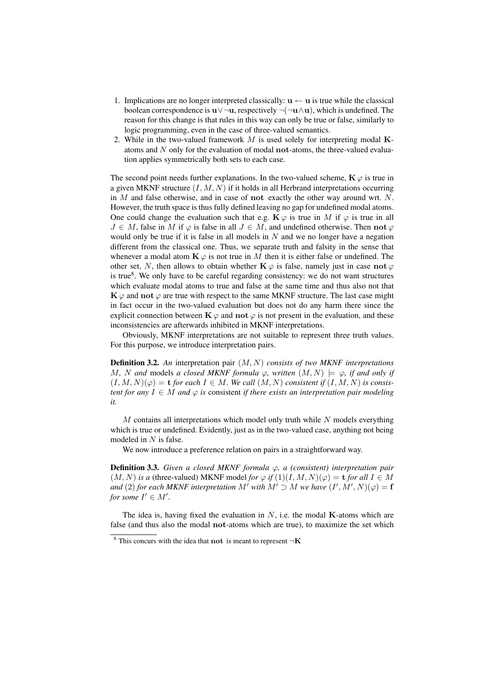- 1. Implications are no longer interpreted classically:  $\mathbf{u} \leftarrow \mathbf{u}$  is true while the classical boolean correspondence is  $\mathbf{u} \vee \neg \mathbf{u}$ , respectively  $\neg(\neg \mathbf{u} \wedge \mathbf{u})$ , which is undefined. The reason for this change is that rules in this way can only be true or false, similarly to logic programming, even in the case of three-valued semantics.
- 2. While in the two-valued framework  $M$  is used solely for interpreting modal  $K$ atoms and N only for the evaluation of modal not-atoms, the three-valued evaluation applies symmetrically both sets to each case.

The second point needs further explanations. In the two-valued scheme,  $\mathbf{K} \varphi$  is true in a given MKNF structure  $(I, M, N)$  if it holds in all Herbrand interpretations occurring in  $M$  and false otherwise, and in case of not exactly the other way around wrt.  $N$ . However, the truth space is thus fully defined leaving no gap for undefined modal atoms. One could change the evaluation such that e.g.  $\mathbf{K}\varphi$  is true in M if  $\varphi$  is true in all  $J \in M$ , false in M if  $\varphi$  is false in all  $J \in M$ , and undefined otherwise. Then not  $\varphi$ would only be true if it is false in all models in  $N$  and we no longer have a negation different from the classical one. Thus, we separate truth and falsity in the sense that whenever a modal atom  $\mathbf{K} \varphi$  is not true in M then it is either false or undefined. The other set, N, then allows to obtain whether  $\mathbf{K} \varphi$  is false, namely just in case not  $\varphi$ is true<sup>8</sup>. We only have to be careful regarding consistency: we do not want structures which evaluate modal atoms to true and false at the same time and thus also not that  $\mathbf{K}\varphi$  and not  $\varphi$  are true with respect to the same MKNF structure. The last case might in fact occur in the two-valued evaluation but does not do any harm there since the explicit connection between  $\mathbf{K} \varphi$  and not  $\varphi$  is not present in the evaluation, and these inconsistencies are afterwards inhibited in MKNF interpretations.

Obviously, MKNF interpretations are not suitable to represent three truth values. For this purpose, we introduce interpretation pairs.

Definition 3.2. *An* interpretation pair (M, N) *consists of two MKNF interpretations* M, N and models a closed MKNF formula  $\varphi$ , written  $(M, N) \models \varphi$ , if and only if  $(I, M, N)(\varphi) = \mathbf{t}$  *for each*  $I \in M$ *. We call*  $(M, N)$  *consistent if*  $(I, M, N)$  *is consistent for any*  $I \in M$  *and*  $\varphi$  *is* consistent *if there exists an interpretation pair modeling it.*

 $M$  contains all interpretations which model only truth while  $N$  models everything which is true or undefined. Evidently, just as in the two-valued case, anything not being modeled in  $N$  is false.

We now introduce a preference relation on pairs in a straightforward way.

**Definition 3.3.** *Given a closed MKNF formula*  $\varphi$ , *a* (*consistent*) *interpretation pair*  $(M, N)$  *is a* (three-valued) MKNF model *for*  $\varphi$  *if*  $(1)(I, M, N)(\varphi) = \mathbf{t}$  *for all*  $I \in M$ *and* (2) *for each MKNF interpretation*  $M'$  *with*  $M' \supset M$  *we have*  $(I', M', N)(\varphi) = \mathbf{f}$ *for some*  $I' \in M'$ .

The idea is, having fixed the evaluation in  $N$ , i.e. the modal K-atoms which are false (and thus also the modal not-atoms which are true), to maximize the set which

<sup>&</sup>lt;sup>8</sup> This concurs with the idea that not is meant to represent  $\neg K$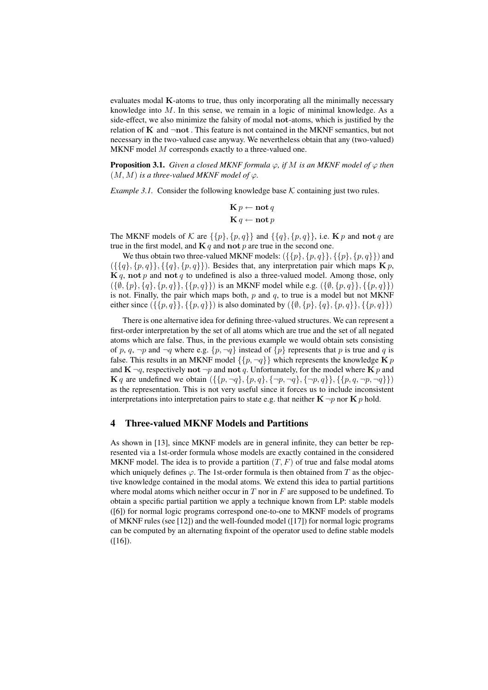evaluates modal K-atoms to true, thus only incorporating all the minimally necessary knowledge into M. In this sense, we remain in a logic of minimal knowledge. As a side-effect, we also minimize the falsity of modal not-atoms, which is justified by the relation of  $K$  and  $\neg$ not. This feature is not contained in the MKNF semantics, but not necessary in the two-valued case anyway. We nevertheless obtain that any (two-valued) MKNF model M corresponds exactly to a three-valued one.

**Proposition 3.1.** *Given a closed MKNF formula*  $\varphi$ *, if* M *is an MKNF model of*  $\varphi$  *then*  $(M, M)$  *is a three-valued MKNF model of*  $\varphi$ *.* 

*Example 3.1.* Consider the following knowledge base  $K$  containing just two rules.

$$
\mathbf{K}\,p \leftarrow \mathbf{not}\,q
$$

$$
\mathbf{K}\,q \leftarrow \mathbf{not}\,p
$$

The MKNF models of K are  $\{\{p\},\{p,q\}\}\$  and  $\{\{q\},\{p,q\}\}\$ , i.e. K p and not q are true in the first model, and  $\mathbf{K} q$  and not p are true in the second one.

We thus obtain two three-valued MKNF models:  $({\{p\}, \{p, q\}\}, {\{p, q\}})$  and  $({\{\{q\},\{p,q\}\},\{\{q\},\{p,q\}\})}$ . Besides that, any interpretation pair which maps  $\mathbf{K} p$ ,  $\mathbf{K} q$ , not p and not q to undefined is also a three-valued model. Among those, only  $(\{\emptyset, \{p\}, \{q\}, \{p, q\}\}, \{\{p, q\}\})$  is an MKNF model while e.g.  $(\{\emptyset, \{p, q\}\}, \{\{p, q\}\})$ is not. Finally, the pair which maps both,  $p$  and  $q$ , to true is a model but not MKNF either since  $({\{p,q\}}, {\{p,q\}})$  is also dominated by  $({\emptyset, {p}, {q}, {p,q}}), {\{p,q\}})$ 

There is one alternative idea for defining three-valued structures. We can represent a first-order interpretation by the set of all atoms which are true and the set of all negated atoms which are false. Thus, in the previous example we would obtain sets consisting of p, q,  $\neg p$  and  $\neg q$  where e.g.  $\{p, \neg q\}$  instead of  $\{p\}$  represents that p is true and q is false. This results in an MKNF model  $\{\{p, \neg q\}\}\$  which represents the knowledge K p and  $\mathbf{K} \neg q$ , respectively not  $\neg p$  and not q. Unfortunately, for the model where  $\mathbf{K} p$  and **K** q are undefined we obtain  $({p, \neg q}, {p, q}, {\neg p, \neg q}, {\neg p, q}, {p, q, \neg p, \neg q})$ as the representation. This is not very useful since it forces us to include inconsistent interpretations into interpretation pairs to state e.g. that neither  $\mathbf{K} \neg p$  nor  $\mathbf{K} p$  hold.

#### 4 Three-valued MKNF Models and Partitions

As shown in [13], since MKNF models are in general infinite, they can better be represented via a 1st-order formula whose models are exactly contained in the considered MKNF model. The idea is to provide a partition  $(T, F)$  of true and false modal atoms which uniquely defines  $\varphi$ . The 1st-order formula is then obtained from T as the objective knowledge contained in the modal atoms. We extend this idea to partial partitions where modal atoms which neither occur in  $T$  nor in  $F$  are supposed to be undefined. To obtain a specific partial partition we apply a technique known from LP: stable models ([6]) for normal logic programs correspond one-to-one to MKNF models of programs of MKNF rules (see [12]) and the well-founded model ([17]) for normal logic programs can be computed by an alternating fixpoint of the operator used to define stable models  $([16]).$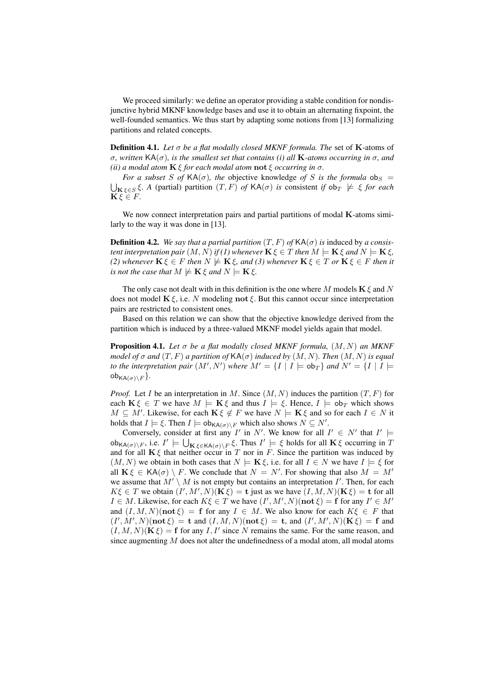We proceed similarly: we define an operator providing a stable condition for nondisjunctive hybrid MKNF knowledge bases and use it to obtain an alternating fixpoint, the well-founded semantics. We thus start by adapting some notions from [13] formalizing partitions and related concepts.

Definition 4.1. *Let* σ *be a flat modally closed MKNF formula. The* set of K-atoms of σ*, written* KA(σ)*, is the smallest set that contains (i) all* K*-atoms occurring in* σ*, and (ii) a modal atom*  $\mathbf{K} \xi$  *for each modal atom*  $\mathbf{not} \xi$  *occurring in*  $\sigma$ *.* 

*For a subset* S *of*  $KA(\sigma)$ *, the objective knowledge of* S *is the formula*  $ob_S$  =  $\bigcup_{\mathbf{K}\,\xi\in S}\,\xi$ . A (partial) partition  $(T,F)$  *of*  $\mathsf{KA}(\sigma)$  *is* consistent *if*  $\mathsf{ob}_T \not\models \xi$  *for each*  $\mathbf{K}\xi \in F$ .

We now connect interpretation pairs and partial partitions of modal  $\bf{K}$ -atoms similarly to the way it was done in [13].

**Definition 4.2.** *We say that a partial partition*  $(T, F)$  *of*  $\mathsf{KA}(\sigma)$  *is* induced by *a consistent interpretation pair*  $(M, N)$  *if (1) whenever*  $\mathbf{K} \xi \in T$  *then*  $M \models \mathbf{K} \xi$  *and*  $N \models \mathbf{K} \xi$ *, (2) whenever*  $\mathbf{K} \xi \in F$  *then*  $N \not\models \mathbf{K} \xi$ *, and (3) whenever*  $\mathbf{K} \xi \in T$  *or*  $\mathbf{K} \xi \in F$  *then it is not the case that*  $M \not\models K \xi$  *and*  $N \models K \xi$ *.* 

The only case not dealt with in this definition is the one where M models  $\mathbf{K} \xi$  and N does not model  $\mathbf{K} \xi$ , i.e. N modeling not  $\xi$ . But this cannot occur since interpretation pairs are restricted to consistent ones.

Based on this relation we can show that the objective knowledge derived from the partition which is induced by a three-valued MKNF model yields again that model.

**Proposition 4.1.** *Let*  $\sigma$  *be a flat modally closed MKNF formula,*  $(M, N)$  *an MKNF model of*  $\sigma$  *and*  $(T, F)$  *a partition of*  $\mathsf{KA}(\sigma)$  *induced by*  $(M, N)$ *. Then*  $(M, N)$  *is equal to the interpretation pair*  $(M', N')$  *where*  $M' = \{I | I \models \text{obj}_T\}$  *and*  $N' = \{I | I \models \text{obj}_T\}$  $obj_{KA(\sigma)\backslash F}$ .

*Proof.* Let I be an interpretation in M. Since  $(M, N)$  induces the partition  $(T, F)$  for each  $\mathbf{K}\xi \in T$  we have  $M \models \mathbf{K}\xi$  and thus  $I \models \xi$ . Hence,  $I \models \text{ob}_T$  which shows  $M \subseteq M'$ . Likewise, for each  $\mathbf{K} \xi \notin F$  we have  $N \models \mathbf{K} \xi$  and so for each  $I \in N$  it holds that  $I \models \xi$ . Then  $I \models \text{ob}_{\mathsf{KA}(\sigma) \setminus F}$  which also shows  $N \subseteq N'.$ 

Conversely, consider at first any I' in N'. We know for all  $I' \in N'$  that  $I' \models$  $\operatorname{ob}_{\mathsf{KA}(\sigma)\backslash F}$ , i.e.  $I' \models \bigcup_{\mathbf{K}\in \mathsf{KA}(\sigma)\backslash F} \xi$ . Thus  $I' \models \xi$  holds for all  $\mathbf{K}\xi$  occurring in T and for all  $\mathbf{K}\xi$  that neither occur in T nor in F. Since the partition was induced by  $(M, N)$  we obtain in both cases that  $N \models K \xi$ , i.e. for all  $I \in N$  we have  $I \models \xi$  for all  $\mathbf{K}\xi \in \mathsf{KA}(\sigma) \setminus F$ . We conclude that  $N = N'$ . For showing that also  $M = M'$ we assume that  $M' \setminus M$  is not empty but contains an interpretation I'. Then, for each  $K\xi \in T$  we obtain  $(I', M', N)(\mathbf{K}\xi) = \mathbf{t}$  just as we have  $(I, M, N)(\mathbf{K}\xi) = \mathbf{t}$  for all  $I \in M$ . Likewise, for each  $K\xi \in T$  we have  $(I', M', N)(\textbf{not } \xi) = \textbf{f}$  for any  $I' \in M'$ and  $(I, M, N)(\textbf{not }\xi) = \textbf{f}$  for any  $I \in M$ . We also know for each  $K\xi \in F$  that  $(I', M', N)$ (not  $\xi$ ) = t and  $(I, M, N)$ (not  $\xi$ ) = t, and  $(I', M', N)$ (K $\xi$ ) = f and  $(I, M, N)(\mathbf{K}\xi) = \mathbf{f}$  for any I, I' since N remains the same. For the same reason, and since augmenting  $M$  does not alter the undefinedness of a modal atom, all modal atoms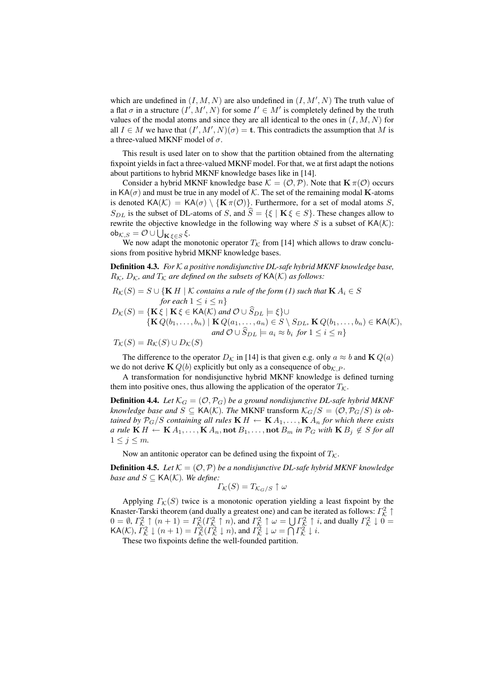which are undefined in  $(I, M, N)$  are also undefined in  $(I, M', N)$  The truth value of a flat  $\sigma$  in a structure  $(I', M', N)$  for some  $I' \in M'$  is completely defined by the truth values of the modal atoms and since they are all identical to the ones in  $(I, M, N)$  for all  $I \in M$  we have that  $(I', M', N)(\sigma) = \mathbf{t}$ . This contradicts the assumption that M is a three-valued MKNF model of  $\sigma$ .

This result is used later on to show that the partition obtained from the alternating fixpoint yields in fact a three-valued MKNF model. For that, we at first adapt the notions about partitions to hybrid MKNF knowledge bases like in [14].

Consider a hybrid MKNF knowledge base  $\mathcal{K} = (\mathcal{O}, \mathcal{P})$ . Note that  $\mathbf{K} \pi(\mathcal{O})$  occurs in  $KA(\sigma)$  and must be true in any model of K. The set of the remaining modal **K**-atoms is denoted  $KA(\mathcal{K}) = KA(\sigma) \setminus \{K \pi(\mathcal{O})\}\$ . Furthermore, for a set of modal atoms S,  $S_{DL}$  is the subset of DL-atoms of S, and  $\hat{S} = \{ \xi \mid \mathbf{K} \xi \in S \}$ . These changes allow to rewrite the objective knowledge in the following way where  $S$  is a subset of  $\mathsf{KA}(\mathcal{K})$ : ob $_{\mathcal{K},S}=\mathcal{O}\cup\bigcup_{\mathbf{K}\,\xi\in S}\xi.$ 

We now adapt the monotonic operator  $T_K$  from [14] which allows to draw conclusions from positive hybrid MKNF knowledge bases.

Definition 4.3. *For* K *a positive nondisjunctive DL-safe hybrid MKNF knowledge base,*  $R_K$ ,  $D_K$ , and  $T_K$  are defined on the subsets of  $\text{KA}(\mathcal{K})$  as follows:

 $R_{\mathcal{K}}(S) = S \cup \{K H \mid \mathcal{K}$  *contains a rule of the form (1) such that*  $K A_i \in S$ *for each*  $1 \leq i \leq n$ 

 $D_{\mathcal{K}}(S) = {\mathbf{K} \xi \mid \mathbf{K} \xi \in \mathsf{KA}(\mathcal{K}) \text{ and } \mathcal{O} \cup S_{DL} \models \xi} \cup \mathsf{K} \mathsf{AC}(\mathcal{K})$  $\{KQ(b_1, ..., b_n) \mid KQ(a_1, ..., a_n) \in S \setminus S_{DL}$ ,  $KQ(b_1, ..., b_n) \in KA(K)$ ,  $and \mathcal{O} \cup S_{DL} \models a_i \approx b_i \text{ for } 1 \leq i \leq n$ 

 $T_{\mathcal{K}}(S) = R_{\mathcal{K}}(S) \cup D_{\mathcal{K}}(S)$ 

The difference to the operator  $D_K$  in [14] is that given e.g. only  $a \approx b$  and **K**  $Q(a)$ we do not derive  $K Q(b)$  explicitly but only as a consequence of ob<sub>K, P</sub>.

A transformation for nondisjunctive hybrid MKNF knowledge is defined turning them into positive ones, thus allowing the application of the operator  $T_{\mathcal{K}}$ .

**Definition 4.4.** Let  $\mathcal{K}_G = (\mathcal{O}, \mathcal{P}_G)$  be a ground nondisjunctive DL-safe hybrid MKNF *knowledge base and*  $S \subseteq \text{KA}(\mathcal{K})$ *. The MKNF transform*  $\mathcal{K}_G/S = (\mathcal{O}, \mathcal{P}_G/S)$  *is obtained by*  $P_G/S$  *containing all rules*  $\mathbf{K} H \leftarrow \mathbf{K} A_1, \ldots, \mathbf{K} A_n$  *for which there exists a rule*  $\mathbf{K} H \leftarrow \mathbf{K} A_1, \dots, \mathbf{K} A_n$ , not  $B_1, \dots$ , not  $B_m$  *in*  $\mathcal{P}_G$  *with*  $\mathbf{K} B_i \notin S$  *for all*  $1 \leq j \leq m$ .

Now an antitonic operator can be defined using the fixpoint of  $T_K$ .

**Definition 4.5.** Let  $K = (O, P)$  be a nondisjunctive DL-safe hybrid MKNF knowledge *base and*  $S \subseteq \text{KA}(\mathcal{K})$ *. We define:* 

$$
\varGamma_{\mathcal{K}}(S) = T_{\mathcal{K}_G/S} \uparrow \omega
$$

Applying  $\Gamma_K(S)$  twice is a monotonic operation yielding a least fixpoint by the Knaster-Tarski theorem (and dually a greatest one) and can be iterated as follows:  $\Gamma_{\mathcal{K}}^2 \uparrow$  $0 = \emptyset$ ,  $\Gamma_{\mathcal{K}}^2 \uparrow (n+1) = \Gamma_{\mathcal{K}}^2(\Gamma_{\mathcal{K}}^2 \uparrow n)$ , and  $\Gamma_{\mathcal{K}}^2 \uparrow \omega = \bigcup \Gamma_{\mathcal{K}}^2 \uparrow i$ , and dually  $\Gamma_{\mathcal{K}}^2 \downarrow 0 =$  $\mathsf{KA}(\mathcal{K}), \Gamma_{\mathcal{K}}^2 \downarrow (n+1) = \Gamma_{\mathcal{K}}^2(\Gamma_{\mathcal{K}}^2 \downarrow n),$  and  $\Gamma_{\mathcal{K}}^2 \downarrow \omega = \bigcap \Gamma_{\mathcal{K}}^2 \downarrow i$ .

These two fixpoints define the well-founded partition.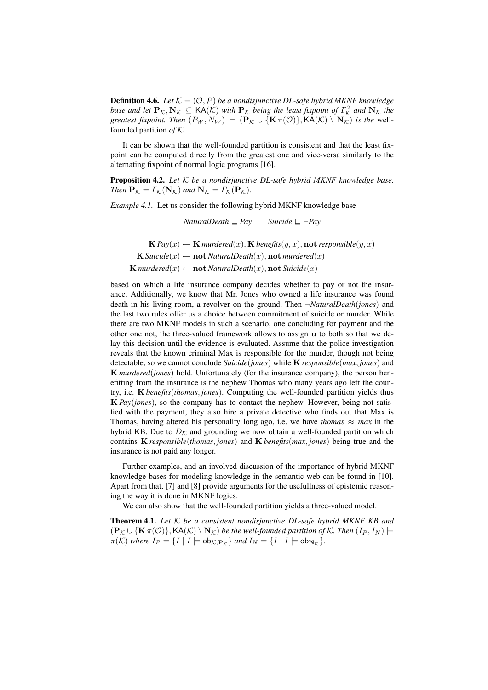**Definition 4.6.** Let  $K = (\mathcal{O}, \mathcal{P})$  be a nondisjunctive DL-safe hybrid MKNF knowledge *base and let*  $P_K$ ,  $N_K \subseteq KA(K)$  *with*  $P_K$  *being the least fixpoint of*  $\Gamma_K^2$  *and*  $N_K$  *the greatest fixpoint. Then*  $(P_W, N_W) = (\mathbf{P}_{\mathcal{K}} \cup {\mathbf{K} \pi(\mathcal{O})}, \mathsf{KA}(\mathcal{K}) \setminus \mathbf{N}_{\mathcal{K}})$  *is the well*founded partition *of* K*.*

It can be shown that the well-founded partition is consistent and that the least fixpoint can be computed directly from the greatest one and vice-versa similarly to the alternating fixpoint of normal logic programs [16].

Proposition 4.2. *Let* K *be a nondisjunctive DL-safe hybrid MKNF knowledge base. Then*  $P_K = \Gamma_K(N_K)$  *and*  $N_K = \Gamma_K(P_K)$ *.* 

*Example 4.1.* Let us consider the following hybrid MKNF knowledge base

*NaturalDeath*  $\Box$  *Pay* Suicide  $\Box \neg Pay$ 

 $\mathbf{K} \, \text{Pay}(x) \leftarrow \mathbf{K} \, \text{murdered}(x), \mathbf{K} \, \text{benefits}(y, x), \text{not } \text{responseible}(y, x)$  $\mathbf{K}$  *Suicide* $(x) \leftarrow \textbf{not}$  *NaturalDeath* $(x)$ ,  $\textbf{not}$  *murdered* $(x)$  $\mathbf{K}$  *murdered* $(x) \leftarrow \textbf{not}$  *NaturalDeath* $(x)$ , **not** *Suicide* $(x)$ 

based on which a life insurance company decides whether to pay or not the insurance. Additionally, we know that Mr. Jones who owned a life insurance was found death in his living room, a revolver on the ground. Then ¬*NaturalDeath*(*jones*) and the last two rules offer us a choice between commitment of suicide or murder. While there are two MKNF models in such a scenario, one concluding for payment and the other one not, the three-valued framework allows to assign u to both so that we delay this decision until the evidence is evaluated. Assume that the police investigation reveals that the known criminal Max is responsible for the murder, though not being detectable, so we cannot conclude *Suicide*(*jones*) while K *responsible*(*max*, *jones*) and K *murdered*(*jones*) hold. Unfortunately (for the insurance company), the person benefitting from the insurance is the nephew Thomas who many years ago left the country, i.e. K *benefits*(*thomas*, *jones*). Computing the well-founded partition yields thus K *Pay*(*jones*), so the company has to contact the nephew. However, being not satisfied with the payment, they also hire a private detective who finds out that Max is Thomas, having altered his personality long ago, i.e. we have *thomas*  $\approx$  *max* in the hybrid KB. Due to  $D_{\mathcal{K}}$  and grounding we now obtain a well-founded partition which contains K *responsible*(*thomas*, *jones*) and K *benefits*(*max*, *jones*) being true and the insurance is not paid any longer.

Further examples, and an involved discussion of the importance of hybrid MKNF knowledge bases for modeling knowledge in the semantic web can be found in [10]. Apart from that, [7] and [8] provide arguments for the usefullness of epistemic reasoning the way it is done in MKNF logics.

We can also show that the well-founded partition yields a three-valued model.

Theorem 4.1. *Let* K *be a consistent nondisjunctive DL-safe hybrid MKNF KB and*  $(\mathbf{P}_K \cup \{ \mathbf{K} \pi(\mathcal{O}) \}, \mathbf{K} \mathbf{A}(\mathcal{K}) \setminus \mathbf{N}_K)$  *be the well-founded partition of* K. Then  $(I_P, I_N)$   $\models$  $\pi(\mathcal{K})$  *where*  $I_P = \{I \mid I \models \text{ob}_{\mathcal{K},\mathbf{P}_{\mathcal{K}}} \}$  *and*  $I_N = \{I \mid I \models \text{ob}_{\mathbf{N}_{\mathcal{K}}} \}.$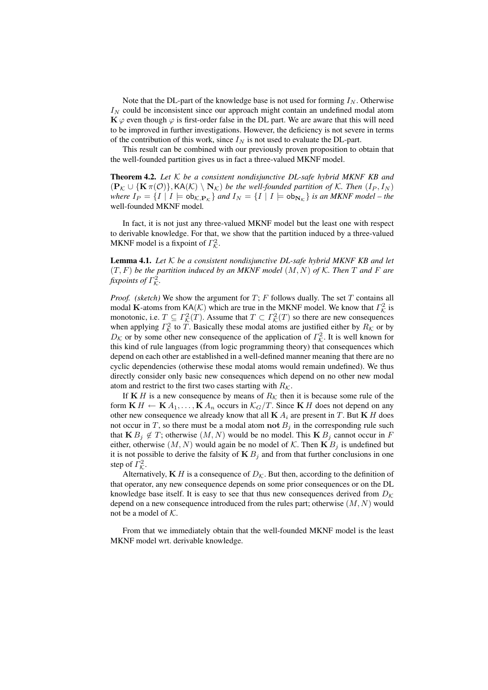Note that the DL-part of the knowledge base is not used for forming  $I<sub>N</sub>$ . Otherwise  $I_N$  could be inconsistent since our approach might contain an undefined modal atom  $\mathbf{K} \varphi$  even though  $\varphi$  is first-order false in the DL part. We are aware that this will need to be improved in further investigations. However, the deficiency is not severe in terms of the contribution of this work, since  $I_N$  is not used to evaluate the DL-part.

This result can be combined with our previously proven proposition to obtain that the well-founded partition gives us in fact a three-valued MKNF model.

Theorem 4.2. *Let* K *be a consistent nondisjunctive DL-safe hybrid MKNF KB and*  $(\mathbf{P}_{\mathcal{K}} \cup {\mathbf{K} \pi(\mathcal{O})}, \mathsf{KA}(\mathcal{K}) \setminus \mathbf{N}_{\mathcal{K}})$  *be the well-founded partition of*  $\mathcal{K}$ *. Then*  $(I_P, I_N)$ *where*  $I_P = \{I | I \models \text{ob}_{\mathcal{K},P_K}\}$  *and*  $I_N = \{I | I \models \text{ob}_{N_K}\}$  *is an MKNF model – the* well-founded MKNF model*.*

In fact, it is not just any three-valued MKNF model but the least one with respect to derivable knowledge. For that, we show that the partition induced by a three-valued MKNF model is a fixpoint of  $\Gamma^2_{\mathcal{K}}$ .

Lemma 4.1. *Let* K *be a consistent nondisjunctive DL-safe hybrid MKNF KB and let* (T, F) *be the partition induced by an MKNF model* (M, N) *of* K*. Then* T *and* F *are* fixpoints of  $\Gamma^2_{\mathcal{K}}$ .

*Proof.* (sketch) We show the argument for  $T$ ;  $F$  follows dually. The set  $T$  contains all modal K-atoms from KA(K) which are true in the MKNF model. We know that  $\Gamma_{\mathcal{K}}^2$  is monotonic, i.e.  $T \subseteq \Gamma_{\mathcal{K}}^2(T)$ . Assume that  $T \subset \Gamma_{\mathcal{K}}^2(T)$  so there are new consequences when applying  $\Gamma_{\mathcal{K}}^2$  to  $\overline{T}$ . Basically these modal atoms are justified either by  $R_{\mathcal{K}}$  or by  $D_{\mathcal{K}}$  or by some other new consequence of the application of  $\Gamma_{\mathcal{K}}^2$ . It is well known for this kind of rule languages (from logic programming theory) that consequences which depend on each other are established in a well-defined manner meaning that there are no cyclic dependencies (otherwise these modal atoms would remain undefined). We thus directly consider only basic new consequences which depend on no other new modal atom and restrict to the first two cases starting with  $R_K$ .

If K H is a new consequence by means of  $R_K$  then it is because some rule of the form  $\mathbf{K} H \leftarrow \mathbf{K} A_1, \dots, \mathbf{K} A_n$  occurs in  $\mathcal{K}_G/T$ . Since  $\mathbf{K} H$  does not depend on any other new consequence we already know that all  $\mathbf{K} A_i$  are present in T. But  $\mathbf{K} H$  does not occur in T, so there must be a modal atom not  $B_i$  in the corresponding rule such that  $\mathbf{K} B_i \notin T$ ; otherwise  $(M, N)$  would be no model. This  $\mathbf{K} B_i$  cannot occur in F either, otherwise  $(M, N)$  would again be no model of K. Then  $\mathbf{K} B_i$  is undefined but it is not possible to derive the falsity of  $\mathbf{K} B_j$  and from that further conclusions in one step of  $\Gamma^2_{\mathcal{K}}$ .

Alternatively,  $\mathbf{K} H$  is a consequence of  $D_{\mathcal{K}}$ . But then, according to the definition of that operator, any new consequence depends on some prior consequences or on the DL knowledge base itself. It is easy to see that thus new consequences derived from  $D_K$ depend on a new consequence introduced from the rules part; otherwise  $(M, N)$  would not be a model of  $K$ .

From that we immediately obtain that the well-founded MKNF model is the least MKNF model wrt. derivable knowledge.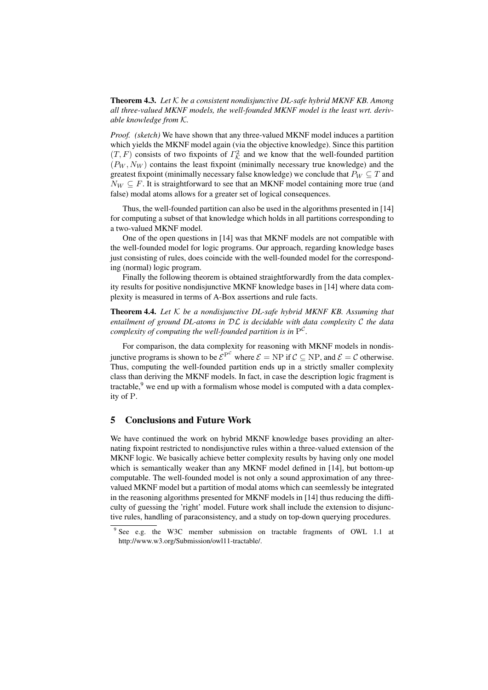Theorem 4.3. *Let* K *be a consistent nondisjunctive DL-safe hybrid MKNF KB. Among all three-valued MKNF models, the well-founded MKNF model is the least wrt. derivable knowledge from* K*.*

*Proof. (sketch)* We have shown that any three-valued MKNF model induces a partition which yields the MKNF model again (via the objective knowledge). Since this partition  $(T, F)$  consists of two fixpoints of  $\Gamma_{\mathcal{K}}^2$  and we know that the well-founded partition  $(P_W, N_W)$  contains the least fixpoint (minimally necessary true knowledge) and the greatest fixpoint (minimally necessary false knowledge) we conclude that  $P_W \subseteq T$  and  $N_W \subseteq F$ . It is straightforward to see that an MKNF model containing more true (and false) modal atoms allows for a greater set of logical consequences.

Thus, the well-founded partition can also be used in the algorithms presented in [14] for computing a subset of that knowledge which holds in all partitions corresponding to a two-valued MKNF model.

One of the open questions in [14] was that MKNF models are not compatible with the well-founded model for logic programs. Our approach, regarding knowledge bases just consisting of rules, does coincide with the well-founded model for the corresponding (normal) logic program.

Finally the following theorem is obtained straightforwardly from the data complexity results for positive nondisjunctive MKNF knowledge bases in [14] where data complexity is measured in terms of A-Box assertions and rule facts.

Theorem 4.4. *Let* K *be a nondisjunctive DL-safe hybrid MKNF KB. Assuming that entailment of ground DL-atoms in* DL *is decidable with data complexity* C *the data complexity of computing the well-founded partition is in*  $P^{\mathcal{C}}$ *.* 

For comparison, the data complexity for reasoning with MKNF models in nondisjunctive programs is shown to be  $\mathcal{E}^{P^C}$  where  $\mathcal{E} = NP$  if  $\mathcal{C} \subseteq NP$ , and  $\mathcal{E} = \mathcal{C}$  otherwise. Thus, computing the well-founded partition ends up in a strictly smaller complexity class than deriving the MKNF models. In fact, in case the description logic fragment is tractable, $9$  we end up with a formalism whose model is computed with a data complexity of P.

# 5 Conclusions and Future Work

We have continued the work on hybrid MKNF knowledge bases providing an alternating fixpoint restricted to nondisjunctive rules within a three-valued extension of the MKNF logic. We basically achieve better complexity results by having only one model which is semantically weaker than any MKNF model defined in [14], but bottom-up computable. The well-founded model is not only a sound approximation of any threevalued MKNF model but a partition of modal atoms which can seemlessly be integrated in the reasoning algorithms presented for MKNF models in [14] thus reducing the difficulty of guessing the 'right' model. Future work shall include the extension to disjunctive rules, handling of paraconsistency, and a study on top-down querying procedures.

<sup>&</sup>lt;sup>9</sup> See e.g. the W3C member submission on tractable fragments of OWL 1.1 at http://www.w3.org/Submission/owl11-tractable/.